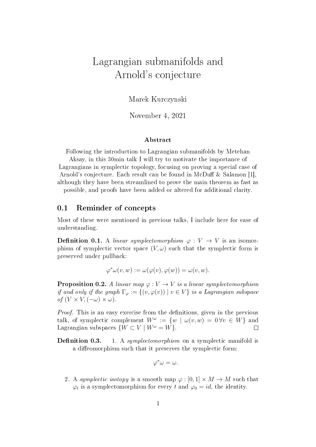# Lagrangian submanifolds and Arnold's conjecture

Marek Kurczynski

November 4, 2021

#### Abstract

Following the introduction to Lagrangian submanifolds by Metehan Aksay, in this 30min talk I will try to motivate the importance of Lagrangians in symplectic topology, focusing on proving a special case of Arnold's conjecture. Each result can be found in McDuff & Salamon [1], although they have been streamlined to prove the main theorem as fast as

possible, and proofs have been added or altered for additional clarity.

#### 0.1 Reminder of concepts

Most of these were mentioned in previous talks, I include here for ease of understanding.

**Definition 0.1.** A linear symplectomorphism  $\varphi: V \to V$  is an isomorphism of symplectic vector space  $(V, \omega)$  such that the symplectic form is preserved under pullback:

$$
\varphi^* \omega(v, w) := \omega(\varphi(v), \varphi(w)) = \omega(v, w).
$$

**Proposition 0.2.** A linear map  $\varphi: V \to V$  is a linear symplectomorphism if and only if the graph  $\Gamma_{\varphi} := \{(v, \varphi(v)) \mid v \in V\}$  is a Lagrangian subspace of  $(V \times V, (-\omega) \times \omega)$ .

*Proof.* This is an easy exercise from the definitions, given in the previous talk, of symplectic complement  $W^{\omega} := \{w \mid \omega(v,w) = 0 \forall v \in W\}$  and Lagrangian subspaces  $\{W \subset V \mid W^{\omega} = W\}.$  $\Box$ 

**Definition 0.3.** 1. A symplectomorphism on a symplectic manifold is a diffeomorphism such that it preserves the symplectic form:

$$
\varphi^*\omega=\omega.
$$

2. A symplectic isotopy is a smooth map  $\varphi : [0,1] \times M \to M$  such that  $\varphi_t$  is a symplectomorphism for every t and  $\varphi_0 = id$ , the identity.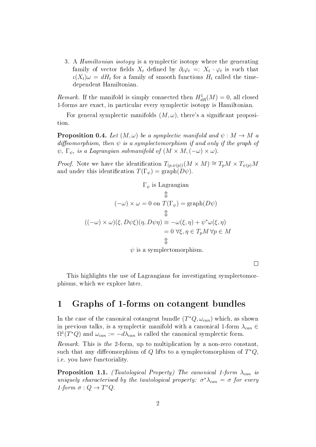3. A Hamiltonian isotopy is a symplectic isotopy where the generating family of vector fields  $X_t$  defined by  $\partial_t \varphi_t =: X_t \cdot \varphi_t$  is such that  $\iota(X_t)\omega = dH_t$  for a family of smooth functions  $H_t$  called the timedependent Hamiltonian.

Remark. If the manifold is simply connected then  $H_{dR}^1(M) = 0$ , all closed 1-forms are exact, in particular every symplectic isotopy is Hamiltonian.

For general symplectic manifolds  $(M, \omega)$ , there's a significant proposition.

**Proposition 0.4.** Let  $(M, \omega)$  be a symplectic manifold and  $\psi : M \to M$  a diffeomorphism, then  $\psi$  is a symplectomorphism if and only if the graph of  $\psi$ ,  $\Gamma_{\psi}$ , is a Lagrangian submanifold of  $(M \times M, (-\omega) \times \omega)$ .

*Proof.* Note we have the identification  $T_{(p,\psi(p))}(M \times M) \cong T_pM \times T_{\psi(p)}M$ and under this identification  $T(\Gamma_{\psi}) = \text{graph}(D\psi)$ .

$$
\Gamma_{\psi} \text{ is Lagrangian}
$$
\n
$$
\begin{aligned}\n(\neg \omega) \times \omega &= 0 \text{ on } T(\Gamma_{\psi}) = \text{graph}(D\psi) \\
&\downarrow \\
((\neg \omega) \times \omega)(\xi, D\psi \xi)(\eta, D\psi \eta) &\equiv -\omega(\xi, \eta) + \psi^* \omega(\xi, \eta) \\
&= 0 \ \forall \xi, \eta \in T_p M \ \forall p \in M \\
\psi \text{ is a symplectomorphism.}\n\end{aligned}
$$

 $\Box$ 

This highlights the use of Lagrangians for investigating symplectomorphisms, which we explore later.

#### 1 Graphs of 1-forms on cotangent bundles

In the case of the canonical cotangent bundle  $(T^*Q, \omega_{can})$  which, as shown in previous talks, is a symplectic manifold with a canonical 1-form  $\lambda_{can} \in$  $\Omega^1(T^*Q)$  and  $\omega_{can}:=-d\lambda_{can}$  is called the canonical symplectic form.

Remark. This is the 2-form, up to multiplication by a non-zero constant, such that any diffeomorphism of Q lifts to a symplectomorphism of  $T^*Q$ , i.e. you have functoriality.

**Proposition 1.1.** (Tautological Property) The canonical 1-form  $\lambda_{can}$  is uniquely characterised by the tautological property:  $\sigma^* \lambda_{can} = \sigma$  for every 1-form  $\sigma: Q \to T^*Q$ .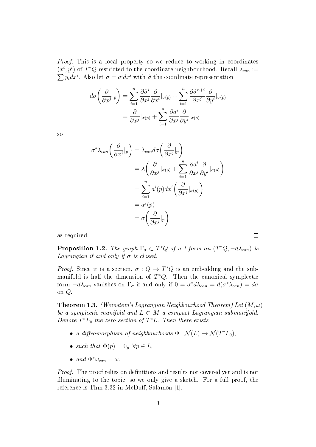Proof. This is a local property so we reduce to working in coordinates  $(x^{i}, y^{i})$  of  $T^{*}Q$  restricted to the coordinate neighbourhood. Recall  $\lambda_{can} :=$  $\sum y_i dx^i$ . Also let  $\sigma = a^i dx^i$  with  $\hat{\sigma}$  the coordinate representation

$$
d\sigma \left( \frac{\partial}{\partial x^j} |_p \right) = \sum_{i=1}^n \frac{\partial \hat{\sigma}^i}{\partial x^j} \frac{\partial}{\partial x^i} |_{\sigma(p)} + \sum_{i=1}^n \frac{\partial \hat{\sigma}^{n+i}}{\partial x^j} \frac{\partial}{\partial y^i} |_{\sigma(p)} = \frac{\partial}{\partial x^j} |_{\sigma(p)} + \sum_{i=1}^n \frac{\partial a^i}{\partial x^j} \frac{\partial}{\partial y^i} |_{\sigma(p)}
$$

so

$$
\sigma^* \lambda_{can} \left( \frac{\partial}{\partial x^j} |_p \right) = \lambda_{can} d\sigma \left( \frac{\partial}{\partial x^j} |_p \right)
$$
  
=  $\lambda \left( \frac{\partial}{\partial x^j} |_{\sigma(p)} + \sum_{i=1}^n \frac{\partial a^i}{\partial x^j} \frac{\partial}{\partial y^i} |_{{\sigma(p)}} \right)$   
=  $\sum_{i=1}^n a^i(p) dx^i \left( \frac{\partial}{\partial x^j} |_{{\sigma(p)}} \right)$   
=  $a^j(p)$   
=  $\sigma \left( \frac{\partial}{\partial x^j} |_p \right)$ 

as required.

**Proposition 1.2.** The graph  $\Gamma_{\sigma} \subset T^*Q$  of a 1-form on  $(T^*Q, -d\lambda_{can})$  is Lagrangian if and only if  $\sigma$  is closed.

*Proof.* Since it is a section,  $\sigma: Q \to T^*Q$  is an embedding and the submanifold is half the dimension of  $T^*Q$ . Then the canonical symplectic form  $-d\lambda_{can}$  vanishes on  $\Gamma_{\sigma}$  if and only if  $0 = \sigma^* d\lambda_{can} = d(\sigma^* \lambda_{can}) = d\sigma$ on Q.  $\Box$ 

**Theorem 1.3.** (Weinstein's Lagrangian Neighbourhood Theorem) Let  $(M, \omega)$ be a symplectic manifold and  $L \subset M$  a compact Lagrangian submanifold. Denote  $T^*L_0$  the zero section of  $T^*L$ . Then there exists

- a diffeomorphism of neighbourhoods  $\Phi : \mathcal{N}(L) \to \mathcal{N}(T^*L_0)$ ,
- such that  $\Phi(p) = 0_p \ \forall p \in L$ ,
- and  $\Phi^* \omega_{can} = \omega$ .

*Proof.* The proof relies on definitions and results not covered yet and is not illuminating to the topic, so we only give a sketch. For a full proof, the reference is Thm  $3.32$  in McDuff, Salamon [1].

 $\Box$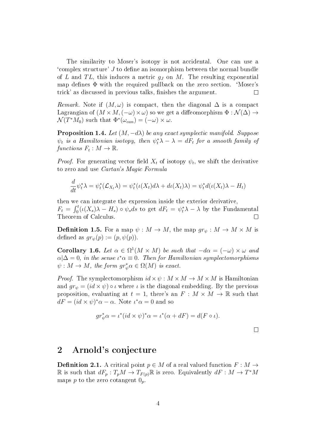The similarity to Moser's isotopy is not accidental. One can use a  $\gamma$  complex structure' J to define an isomorphism between the normal bundle of L and TL, this induces a metric  $g_J$  on M. The resulting exponential map defines  $\Phi$  with the required pullback on the zero section. 'Moser's trick' as discussed in previous talks, finishes the argument.  $\Box$ 

Remark. Note if  $(M, \omega)$  is compact, then the diagonal  $\Delta$  is a compact Lagrangian of  $(M \times M, (-\omega) \times \omega)$  so we get a diffeomorphism  $\Phi : \mathcal{N}(\Delta) \rightarrow$  $\mathcal{N}(T^*M_0)$  such that  $\Phi^*(\omega_{can}) = (-\omega) \times \omega$ .

**Proposition 1.4.** Let  $(M, -d\lambda)$  be any exact symplectic manifold. Suppose  $\psi_t$  is a Hamiltonian isotopy, then  $\psi_t^* \lambda - \lambda = dF_t$  for a smooth family of functions  $F_t : M \to \mathbb{R}$ .

*Proof.* For generating vector field  $X_t$  of isotopy  $\psi_t$ , we shift the derivative to zero and use Cartan's Magic Formula

$$
\frac{d}{dt}\psi_t^*\lambda = \psi_t^*(\mathcal{L}_{X_t}\lambda) = \psi_t^*(\iota(X_t)d\lambda + d\iota(X_t)\lambda) = \psi_t^*d(\iota(X_t)\lambda - H_t)
$$

then we can integrate the expression inside the exterior derivative,  $F_t = \int_0^t (\iota(X_s)\lambda - H_s) \circ \psi_s ds$  to get  $dF_t = \psi_t^*\lambda - \lambda$  by the Fundamental Theorem of Calculus.  $\Box$ 

**Definition 1.5.** For a map  $\psi : M \to M$ , the map  $gr_{\psi}: M \to M \times M$  is defined as  $gr_{\psi}(p) := (p, \psi(p)).$ 

**Corollary 1.6.** Let  $\alpha \in \Omega^1(M \times M)$  be such that  $-d\alpha = (-\omega) \times \omega$  and  $\alpha|\Delta=0$ , in the sense  $\iota^*\alpha\equiv 0$ . Then for Hamiltonian symplectomorphisms  $\psi: M \to M$ , the form  $gr_{\psi}^{*}\alpha \in \Omega(M)$  is exact.

*Proof.* The symplectomorphism  $id \times \psi : M \times M \rightarrow M \times M$  is Hamiltonian and  $gr_{\psi} = (id \times \psi) \circ \iota$  where  $\iota$  is the diagonal embedding. By the previous proposition, evaluating at  $t = 1$ , there's an  $F : M \times M \to \mathbb{R}$  such that  $dF = (id \times \psi)^*\alpha - \alpha$ . Note  $\iota^*\alpha = 0$  and so

$$
gr_{\psi}^*\alpha = \iota^*(id \times \psi)^*\alpha = \iota^*(\alpha + dF) = d(F \circ \iota).
$$

### 2 Arnold's conjecture

**Definition 2.1.** A critical point  $p \in M$  of a real valued function  $F : M \rightarrow$  $\mathbb R$  is such that  $dF_p: T_pM \to T_{F(p)}\mathbb R$  is zero. Equivalently  $dF: M \to T^*M$ maps p to the zero cotangent  $0_p$ .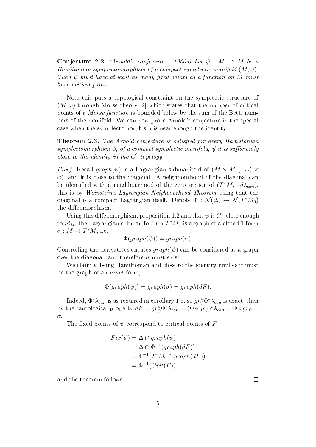**Conjecture 2.2.** (Arnold's conjecture  $-1960s$ ) Let  $\psi : M \rightarrow M$  be a Hamiltonian symplectomorphism of a compact symplectic manifold  $(M,\omega)$ . Then  $\psi$  must have at least as many fixed points as a function on M must have critical points.

Note this puts a topological constraint on the symplectic structure of  $(M, \omega)$  through Morse theory [2] which states that the number of critical points of a Morse function is bounded below by the sum of the Betti numbers of the manifold. We can now prove Arnold's conjecture in the special case when the symplectomorphism is near enough the identity.

**Theorem 2.3.** The Arnold conjecture is satisfied for every Hamiltonian symplectomorphism  $\psi$ , of a compact symplectic manifold, if it is sufficiently close to the identity in the  $C^1$ -topology.

*Proof.* Recall  $graph(\psi)$  is a Lagrangian submanifold of  $(M \times M, (-\omega) \times$  $\omega$ ), and it is close to the diagonal. A neighbourhood of the diagonal can be identified with a neighbourhood of the zero section of  $(T^*M, -d\lambda_{can}),$ this is by Weinstein's Lagrangian Neighbourhood Theorem using that the diagonal is a compact Lagrangian itself. Denote  $\Phi : \mathcal{N}(\Delta) \to \mathcal{N}(T^*M_0)$ the diffeomorphism.

Using this diffeomorphism, proposition 1.2 and that  $\psi$  is  $C^1$ -close enough to  $id_M$ , the Lagrangian submanifold (in  $T^*M$ ) is a graph of a closed 1-form  $\sigma : M \to T^*M$ , i.e.

$$
\Phi(graph(\psi)) = graph(\sigma).
$$

Controlling the derivatives ensures  $graph(\psi)$  can be considered as a graph over the diagonal, and therefore  $\sigma$  must exist.

We claim  $\psi$  being Hamiltonian and close to the identity implies it must be the graph of an exact form,

$$
\Phi(graph(\psi)) = graph(\sigma) = graph(dF).
$$

Indeed,  $\Phi^* \lambda_{can}$  is as required in corollary 1.6, so  $gr^*_{\psi}\Phi^* \lambda_{can}$  is exact, then by the tautological property  $dF = gr_{\psi}^* \Phi^* \lambda_{can} = (\Phi \circ gr_{\psi})^* \lambda_{can} = \Phi \circ gr_{\psi} =$ σ.

The fixed points of  $\psi$  correspond to critical points of F

$$
Fix(\psi) = \Delta \cap graph(\psi)
$$
  
=  $\Delta \cap \Phi^{-1}(graph(dF))$   
=  $\Phi^{-1}(T^*M_0 \cap graph(dF))$   
=  $\Phi^{-1}(Crit(F))$ 

and the theorem follows.

 $\Box$